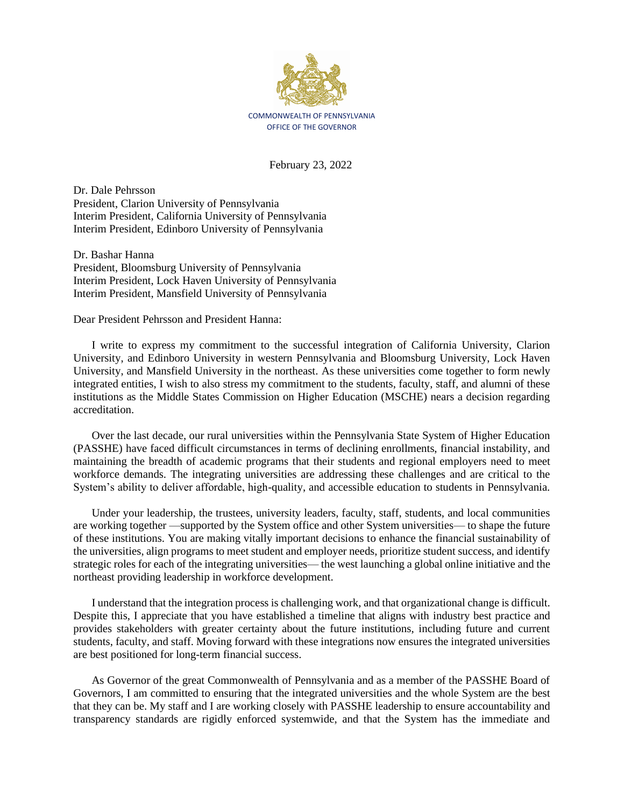

February 23, 2022

Dr. Dale Pehrsson President, Clarion University of Pennsylvania Interim President, California University of Pennsylvania Interim President, Edinboro University of Pennsylvania

Dr. Bashar Hanna President, Bloomsburg University of Pennsylvania Interim President, Lock Haven University of Pennsylvania Interim President, Mansfield University of Pennsylvania

Dear President Pehrsson and President Hanna:

I write to express my commitment to the successful integration of California University, Clarion University, and Edinboro University in western Pennsylvania and Bloomsburg University, Lock Haven University, and Mansfield University in the northeast. As these universities come together to form newly integrated entities, I wish to also stress my commitment to the students, faculty, staff, and alumni of these institutions as the Middle States Commission on Higher Education (MSCHE) nears a decision regarding accreditation.

Over the last decade, our rural universities within the Pennsylvania State System of Higher Education (PASSHE) have faced difficult circumstances in terms of declining enrollments, financial instability, and maintaining the breadth of academic programs that their students and regional employers need to meet workforce demands. The integrating universities are addressing these challenges and are critical to the System's ability to deliver affordable, high-quality, and accessible education to students in Pennsylvania.

Under your leadership, the trustees, university leaders, faculty, staff, students, and local communities are working together —supported by the System office and other System universities— to shape the future of these institutions. You are making vitally important decisions to enhance the financial sustainability of the universities, align programs to meet student and employer needs, prioritize student success, and identify strategic roles for each of the integrating universities— the west launching a global online initiative and the northeast providing leadership in workforce development.

I understand that the integration process is challenging work, and that organizational change is difficult. Despite this, I appreciate that you have established a timeline that aligns with industry best practice and provides stakeholders with greater certainty about the future institutions, including future and current students, faculty, and staff. Moving forward with these integrations now ensures the integrated universities are best positioned for long-term financial success.

As Governor of the great Commonwealth of Pennsylvania and as a member of the PASSHE Board of Governors, I am committed to ensuring that the integrated universities and the whole System are the best that they can be. My staff and I are working closely with PASSHE leadership to ensure accountability and transparency standards are rigidly enforced systemwide, and that the System has the immediate and